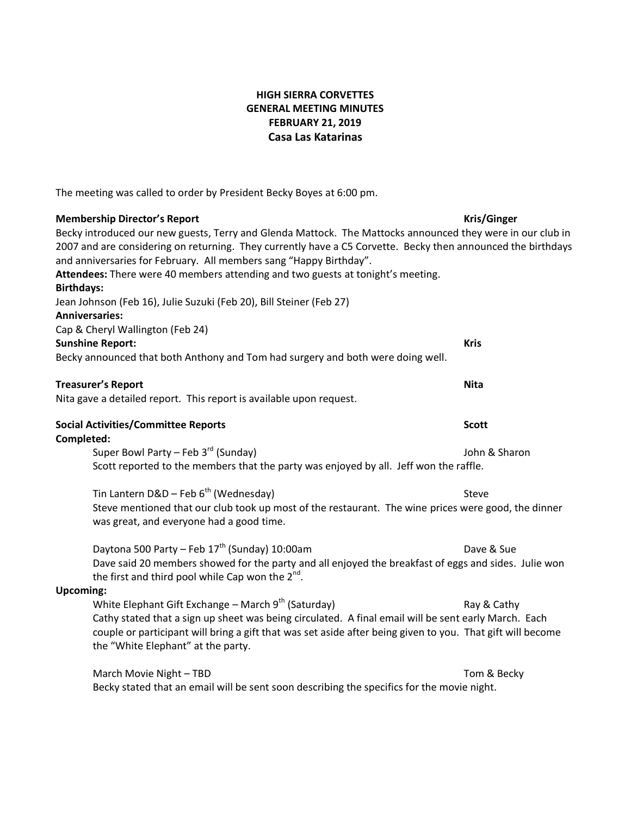### **HIGH SIERRA CORVETTES GENERAL MEETING MINUTES FEBRUARY 21, 2019 Casa Las Katarinas**

The meeting was called to order by President Becky Boyes at 6:00 pm.

### **Membership Director's Report Kris/Ginger**

Becky introduced our new guests, Terry and Glenda Mattock. The Mattocks announced they were in our club in 2007 and are considering on returning. They currently have a C5 Corvette. Becky then announced the birthdays and anniversaries for February. All members sang "Happy Birthday". **Attendees:** There were 40 members attending and two guests at tonight's meeting. **Birthdays:** Jean Johnson (Feb 16), Julie Suzuki (Feb 20), Bill Steiner (Feb 27) **Anniversaries:** Cap & Cheryl Wallington (Feb 24) **Sunshine Report: Kris** Becky announced that both Anthony and Tom had surgery and both were doing well. **Treasurer's Report Nita**

Nita gave a detailed report. This report is available upon request.

#### **Social Activities/Committee Reports Scott Completed:**

Super Bowl Party – Feb 3<sup>rd</sup> (Sunday) Super Bowl Party – Feb 3<sup>rd</sup> (Sunday) John & Sharon Scott reported to the members that the party was enjoyed by all. Jeff won the raffle.

Tin Lantern D&D – Feb  $6<sup>th</sup>$  (Wednesday) Steve Steve mentioned that our club took up most of the restaurant. The wine prices were good, the dinner was great, and everyone had a good time.

Daytona 500 Party – Feb  $17<sup>th</sup>$  (Sunday) 10:00am Daytona Dave & Sue Dave said 20 members showed for the party and all enjoyed the breakfast of eggs and sides. Julie won the first and third pool while Cap won the  $2^{nd}$ .

### **Upcoming:**

White Elephant Gift Exchange – March  $9<sup>th</sup>$  (Saturday) Ray & Cathy Cathy stated that a sign up sheet was being circulated. A final email will be sent early March. Each couple or participant will bring a gift that was set aside after being given to you. That gift will become the "White Elephant" at the party.

March Movie Night – TBD Tom & Becky Becky stated that an email will be sent soon describing the specifics for the movie night.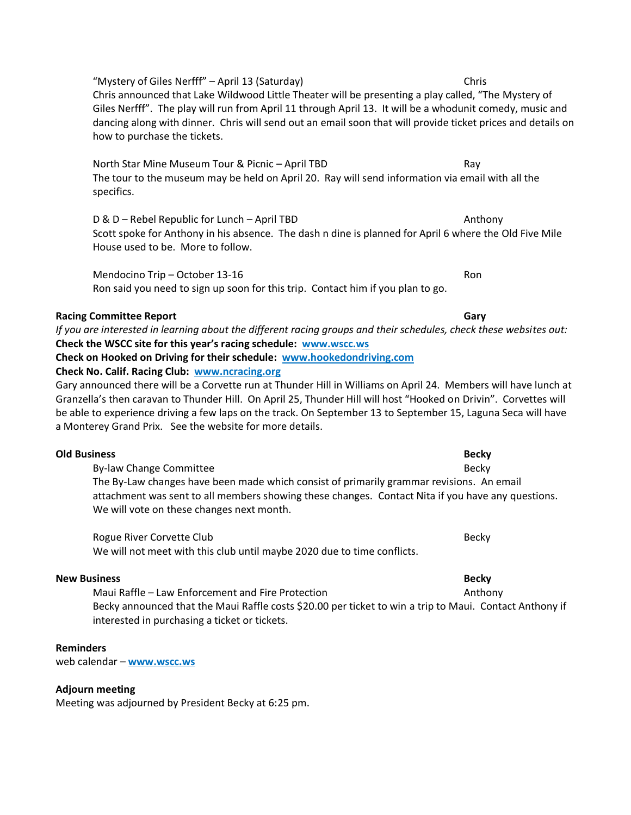"Mystery of Giles Nerfff" – April 13 (Saturday) Chris Chris announced that Lake Wildwood Little Theater will be presenting a play called, "The Mystery of Giles Nerfff". The play will run from April 11 through April 13. It will be a whodunit comedy, music and dancing along with dinner. Chris will send out an email soon that will provide ticket prices and details on how to purchase the tickets.

North Star Mine Museum Tour & Picnic – April TBD **Ray** Ray The tour to the museum may be held on April 20. Ray will send information via email with all the specifics.

D & D – Rebel Republic for Lunch – April TBD **Anthony** Scott spoke for Anthony in his absence. The dash n dine is planned for April 6 where the Old Five Mile House used to be. More to follow.

Mendocino Trip – October 13-16 Ron Ron said you need to sign up soon for this trip. Contact him if you plan to go.

# **Racing Committee Report Gary Gary**

*If you are interested in learning about the different racing groups and their schedules, check these websites out:* **Check the WSCC site for this year's racing schedule: www.wscc.ws Check on Hooked on Driving for their schedule: [www.hookedondriving.com](http://www.hookedondriving.com/)**

# **Check No. Calif. Racing Club: [www.ncracing.org](http://www.ncracing.org/)**

Gary announced there will be a Corvette run at Thunder Hill in Williams on April 24. Members will have lunch at Granzella's then caravan to Thunder Hill. On April 25, Thunder Hill will host "Hooked on Drivin". Corvettes will be able to experience driving a few laps on the track. On September 13 to September 15, Laguna Seca will have a Monterey Grand Prix. See the website for more details.

### **Old Business Becky**

By-law Change Committee **Becky Becky** The By-Law changes have been made which consist of primarily grammar revisions. An email attachment was sent to all members showing these changes. Contact Nita if you have any questions. We will vote on these changes next month.

Rogue River Corvette Club Becky and the Club Becky Becky Becky Becky Becky We will not meet with this club until maybe 2020 due to time conflicts.

# **New Business Becky**

Maui Raffle – Law Enforcement and Fire Protection **Anthony** Anthony Becky announced that the Maui Raffle costs \$20.00 per ticket to win a trip to Maui. Contact Anthony if interested in purchasing a ticket or tickets.

# **Reminders**

web calendar – **[www.wscc.ws](http://www.wscc.ws/)**

# **Adjourn meeting**

Meeting was adjourned by President Becky at 6:25 pm.